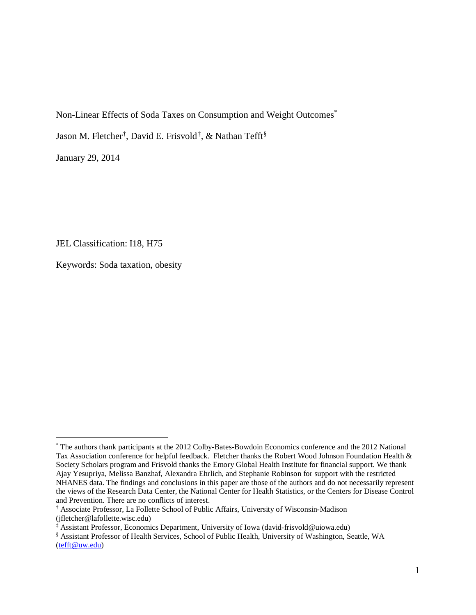Non-Linear Effects of Soda Taxes on Consumption and Weight Outcomes[\\*](#page-0-0)

Jason M. Fletcher[†](#page-0-1), David E. Frisvold[‡](#page-0-2), & Nathan Tefft<sup>[§](#page-0-3)</sup>

January 29, 2014

 $\overline{a}$ 

JEL Classification: I18, H75

Keywords: Soda taxation, obesity

<span id="page-0-0"></span><sup>\*</sup> The authors thank participants at the 2012 Colby-Bates-Bowdoin Economics conference and the 2012 National Tax Association conference for helpful feedback. Fletcher thanks the Robert Wood Johnson Foundation Health & Society Scholars program and Frisvold thanks the Emory Global Health Institute for financial support. We thank Ajay Yesupriya, Melissa Banzhaf, Alexandra Ehrlich, and Stephanie Robinson for support with the restricted NHANES data. The findings and conclusions in this paper are those of the authors and do not necessarily represent the views of the Research Data Center, the National Center for Health Statistics, or the Centers for Disease Control and Prevention. There are no conflicts of interest.

<span id="page-0-1"></span><sup>†</sup> Associate Professor, La Follette School of Public Affairs, University of Wisconsin-Madison (jfletcher@lafollette.wisc.edu)

<span id="page-0-2"></span><sup>‡</sup> Assistant Professor, Economics Department, University of Iowa (david-frisvold@uiowa.edu)

<span id="page-0-3"></span><sup>§</sup> Assistant Professor of Health Services, School of Public Health, University of Washington, Seattle, WA [\(tefft@uw.edu\)](mailto:tefft@uw.edu)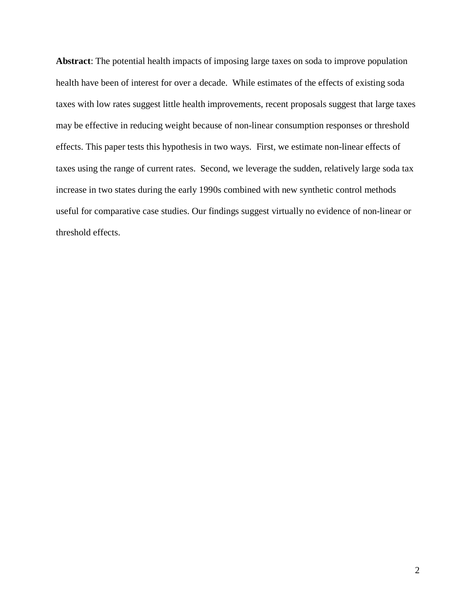**Abstract**: The potential health impacts of imposing large taxes on soda to improve population health have been of interest for over a decade. While estimates of the effects of existing soda taxes with low rates suggest little health improvements, recent proposals suggest that large taxes may be effective in reducing weight because of non-linear consumption responses or threshold effects. This paper tests this hypothesis in two ways. First, we estimate non-linear effects of taxes using the range of current rates. Second, we leverage the sudden, relatively large soda tax increase in two states during the early 1990s combined with new synthetic control methods useful for comparative case studies. Our findings suggest virtually no evidence of non-linear or threshold effects.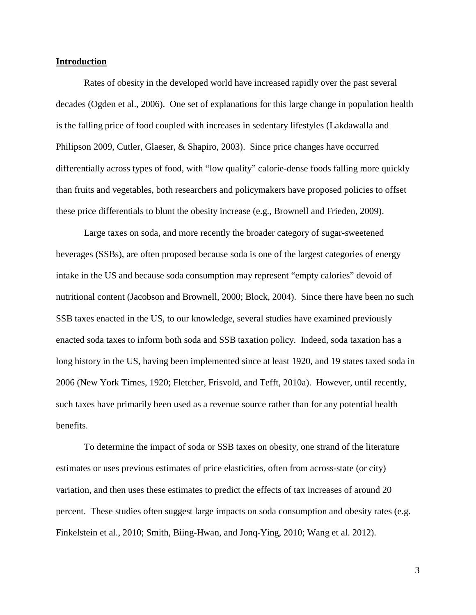#### **Introduction**

Rates of obesity in the developed world have increased rapidly over the past several decades (Ogden et al., 2006). One set of explanations for this large change in population health is the falling price of food coupled with increases in sedentary lifestyles (Lakdawalla and Philipson 2009, Cutler, Glaeser, & Shapiro, 2003). Since price changes have occurred differentially across types of food, with "low quality" calorie-dense foods falling more quickly than fruits and vegetables, both researchers and policymakers have proposed policies to offset these price differentials to blunt the obesity increase (e.g., Brownell and Frieden, 2009).

Large taxes on soda, and more recently the broader category of sugar-sweetened beverages (SSBs), are often proposed because soda is one of the largest categories of energy intake in the US and because soda consumption may represent "empty calories" devoid of nutritional content (Jacobson and Brownell, 2000; Block, 2004). Since there have been no such SSB taxes enacted in the US, to our knowledge, several studies have examined previously enacted soda taxes to inform both soda and SSB taxation policy. Indeed, soda taxation has a long history in the US, having been implemented since at least 1920, and 19 states taxed soda in 2006 (New York Times, 1920; Fletcher, Frisvold, and Tefft, 2010a). However, until recently, such taxes have primarily been used as a revenue source rather than for any potential health benefits.

To determine the impact of soda or SSB taxes on obesity, one strand of the literature estimates or uses previous estimates of price elasticities, often from across-state (or city) variation, and then uses these estimates to predict the effects of tax increases of around 20 percent. These studies often suggest large impacts on soda consumption and obesity rates (e.g. Finkelstein et al., 2010; Smith, Biing-Hwan, and Jonq-Ying, 2010; Wang et al. 2012).

3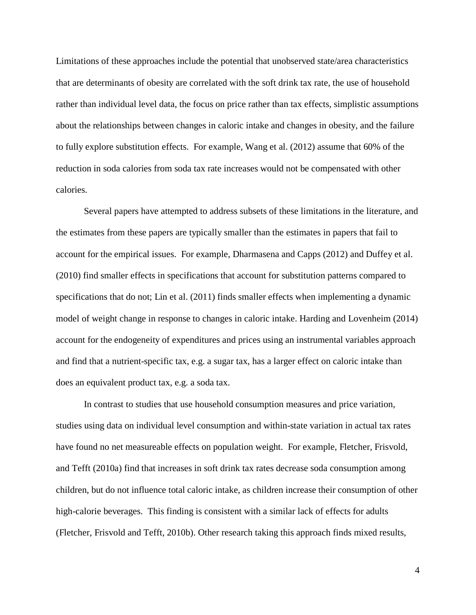Limitations of these approaches include the potential that unobserved state/area characteristics that are determinants of obesity are correlated with the soft drink tax rate, the use of household rather than individual level data, the focus on price rather than tax effects, simplistic assumptions about the relationships between changes in caloric intake and changes in obesity, and the failure to fully explore substitution effects. For example, Wang et al. (2012) assume that 60% of the reduction in soda calories from soda tax rate increases would not be compensated with other calories.

Several papers have attempted to address subsets of these limitations in the literature, and the estimates from these papers are typically smaller than the estimates in papers that fail to account for the empirical issues. For example, Dharmasena and Capps (2012) and Duffey et al. (2010) find smaller effects in specifications that account for substitution patterns compared to specifications that do not; Lin et al. (2011) finds smaller effects when implementing a dynamic model of weight change in response to changes in caloric intake. Harding and Lovenheim (2014) account for the endogeneity of expenditures and prices using an instrumental variables approach and find that a nutrient-specific tax, e.g. a sugar tax, has a larger effect on caloric intake than does an equivalent product tax, e.g. a soda tax.

In contrast to studies that use household consumption measures and price variation, studies using data on individual level consumption and within-state variation in actual tax rates have found no net measureable effects on population weight. For example, Fletcher, Frisvold, and Tefft (2010a) find that increases in soft drink tax rates decrease soda consumption among children, but do not influence total caloric intake, as children increase their consumption of other high-calorie beverages. This finding is consistent with a similar lack of effects for adults (Fletcher, Frisvold and Tefft, 2010b). Other research taking this approach finds mixed results,

4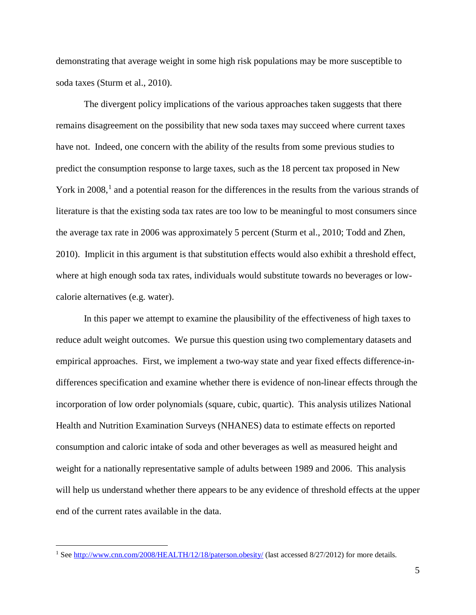demonstrating that average weight in some high risk populations may be more susceptible to soda taxes (Sturm et al., 2010).

The divergent policy implications of the various approaches taken suggests that there remains disagreement on the possibility that new soda taxes may succeed where current taxes have not. Indeed, one concern with the ability of the results from some previous studies to predict the consumption response to large taxes, such as the 18 percent tax proposed in New York in 2008,<sup>[1](#page-4-0)</sup> and a potential reason for the differences in the results from the various strands of literature is that the existing soda tax rates are too low to be meaningful to most consumers since the average tax rate in 2006 was approximately 5 percent (Sturm et al., 2010; Todd and Zhen, 2010). Implicit in this argument is that substitution effects would also exhibit a threshold effect, where at high enough soda tax rates, individuals would substitute towards no beverages or lowcalorie alternatives (e.g. water).

In this paper we attempt to examine the plausibility of the effectiveness of high taxes to reduce adult weight outcomes. We pursue this question using two complementary datasets and empirical approaches. First, we implement a two-way state and year fixed effects difference-indifferences specification and examine whether there is evidence of non-linear effects through the incorporation of low order polynomials (square, cubic, quartic). This analysis utilizes National Health and Nutrition Examination Surveys (NHANES) data to estimate effects on reported consumption and caloric intake of soda and other beverages as well as measured height and weight for a nationally representative sample of adults between 1989 and 2006. This analysis will help us understand whether there appears to be any evidence of threshold effects at the upper end of the current rates available in the data.

<span id="page-4-0"></span><sup>&</sup>lt;sup>1</sup> Se[e http://www.cnn.com/2008/HEALTH/12/18/paterson.obesity/](http://www.cnn.com/2008/HEALTH/12/18/paterson.obesity/) (last accessed 8/27/2012) for more details.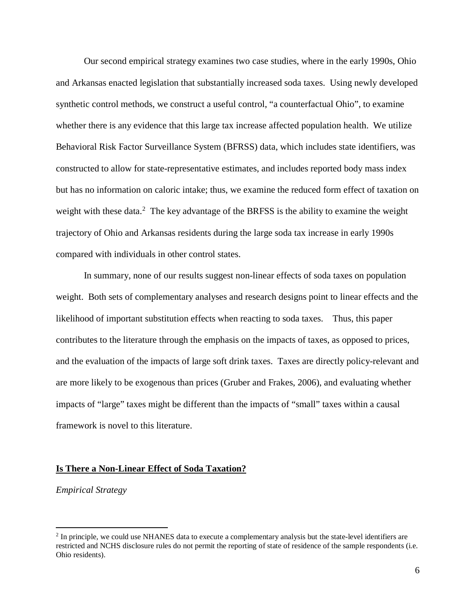Our second empirical strategy examines two case studies, where in the early 1990s, Ohio and Arkansas enacted legislation that substantially increased soda taxes. Using newly developed synthetic control methods, we construct a useful control, "a counterfactual Ohio", to examine whether there is any evidence that this large tax increase affected population health. We utilize Behavioral Risk Factor Surveillance System (BFRSS) data, which includes state identifiers, was constructed to allow for state-representative estimates, and includes reported body mass index but has no information on caloric intake; thus, we examine the reduced form effect of taxation on weight with these data.<sup>[2](#page-5-0)</sup> The key advantage of the BRFSS is the ability to examine the weight trajectory of Ohio and Arkansas residents during the large soda tax increase in early 1990s compared with individuals in other control states.

In summary, none of our results suggest non-linear effects of soda taxes on population weight. Both sets of complementary analyses and research designs point to linear effects and the likelihood of important substitution effects when reacting to soda taxes. Thus, this paper contributes to the literature through the emphasis on the impacts of taxes, as opposed to prices, and the evaluation of the impacts of large soft drink taxes. Taxes are directly policy-relevant and are more likely to be exogenous than prices (Gruber and Frakes, 2006), and evaluating whether impacts of "large" taxes might be different than the impacts of "small" taxes within a causal framework is novel to this literature.

#### **Is There a Non-Linear Effect of Soda Taxation?**

*Empirical Strategy*

<span id="page-5-0"></span><sup>&</sup>lt;sup>2</sup> In principle, we could use NHANES data to execute a complementary analysis but the state-level identifiers are restricted and NCHS disclosure rules do not permit the reporting of state of residence of the sample respondents (i.e. Ohio residents).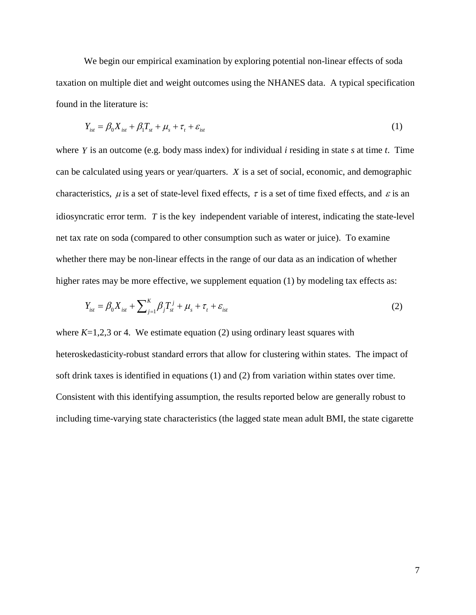We begin our empirical examination by exploring potential non-linear effects of soda taxation on multiple diet and weight outcomes using the NHANES data. A typical specification found in the literature is:

$$
Y_{\text{ist}} = \beta_0 X_{\text{ist}} + \beta_1 T_{\text{st}} + \mu_s + \tau_t + \varepsilon_{\text{ist}} \tag{1}
$$

where *Y* is an outcome (e.g. body mass index) for individual *i* residing in state *s* at time *t*. Time can be calculated using years or year/quarters. *X* is a set of social, economic, and demographic characteristics,  $\mu$  is a set of state-level fixed effects,  $\tau$  is a set of time fixed effects, and  $\varepsilon$  is an idiosyncratic error term. *T* is the key independent variable of interest, indicating the state-level net tax rate on soda (compared to other consumption such as water or juice). To examine whether there may be non-linear effects in the range of our data as an indication of whether higher rates may be more effective, we supplement equation (1) by modeling tax effects as:

$$
Y_{ist} = \beta_0 X_{ist} + \sum_{j=1}^{K} \beta_j T_{st}^j + \mu_s + \tau_t + \varepsilon_{ist}
$$
 (2)

where  $K=1,2,3$  or 4. We estimate equation (2) using ordinary least squares with heteroskedasticity-robust standard errors that allow for clustering within states. The impact of soft drink taxes is identified in equations (1) and (2) from variation within states over time. Consistent with this identifying assumption, the results reported below are generally robust to including time-varying state characteristics (the lagged state mean adult BMI, the state cigarette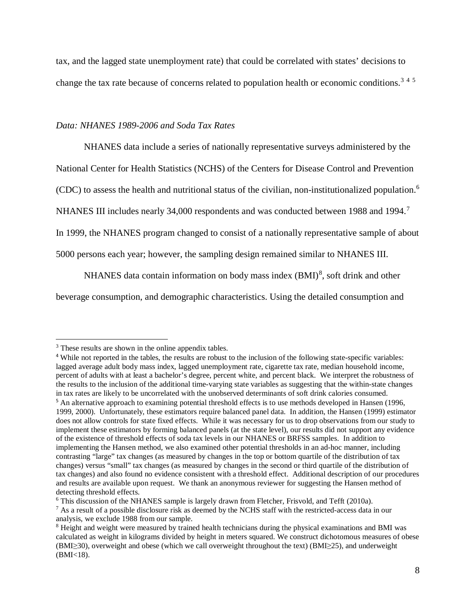tax, and the lagged state unemployment rate) that could be correlated with states' decisions to change the tax rate because of concerns related to population health or economic conditions.<sup>[3](#page-7-0)[4](#page-7-1)[5](#page-7-2)</sup>

#### *Data: NHANES 1989-2006 and Soda Tax Rates*

NHANES data include a series of nationally representative surveys administered by the

National Center for Health Statistics (NCHS) of the Centers for Disease Control and Prevention

(CDC) to assess the health and nutritional status of the civilian, non-institutionalized population.[6](#page-7-3)

NHANES III includes nearly 34,000 respondents and was conducted between 1988 and 1994.<sup>[7](#page-7-4)</sup>

In 1999, the NHANES program changed to consist of a nationally representative sample of about

5000 persons each year; however, the sampling design remained similar to NHANES III.

NHANES data contain information on body mass index  $(BMI)^8$  $(BMI)^8$ , soft drink and other

beverage consumption, and demographic characteristics. Using the detailed consumption and

<span id="page-7-0"></span><sup>3</sup> These results are shown in the online appendix tables.

<span id="page-7-1"></span><sup>&</sup>lt;sup>4</sup> While not reported in the tables, the results are robust to the inclusion of the following state-specific variables: lagged average adult body mass index, lagged unemployment rate, cigarette tax rate, median household income, percent of adults with at least a bachelor's degree, percent white, and percent black. We interpret the robustness of the results to the inclusion of the additional time-varying state variables as suggesting that the within-state changes in tax rates are likely to be uncorrelated with the unobserved determinants of soft drink calories consumed.

<span id="page-7-2"></span><sup>5</sup> An alternative approach to examining potential threshold effects is to use methods developed in Hansen (1996, 1999, 2000). Unfortunately, these estimators require balanced panel data. In addition, the Hansen (1999) estimator does not allow controls for state fixed effects. While it was necessary for us to drop observations from our study to implement these estimators by forming balanced panels (at the state level), our results did not support any evidence of the existence of threshold effects of soda tax levels in our NHANES or BRFSS samples. In addition to implementing the Hansen method, we also examined other potential thresholds in an ad-hoc manner, including contrasting "large" tax changes (as measured by changes in the top or bottom quartile of the distribution of tax changes) versus "small" tax changes (as measured by changes in the second or third quartile of the distribution of tax changes) and also found no evidence consistent with a threshold effect. Additional description of our procedures and results are available upon request. We thank an anonymous reviewer for suggesting the Hansen method of detecting threshold effects.

<span id="page-7-3"></span> $6$  This discussion of the NHANES sample is largely drawn from Fletcher, Frisvold, and Tefft (2010a).

<span id="page-7-4"></span> $^7$  As a result of a possible disclosure risk as deemed by the NCHS staff with the restricted-access data in our analysis, we exclude 1988 from our sample.

<span id="page-7-5"></span><sup>8</sup> Height and weight were measured by trained health technicians during the physical examinations and BMI was calculated as weight in kilograms divided by height in meters squared. We construct dichotomous measures of obese (BMI≥30), overweight and obese (which we call overweight throughout the text) (BMI≥25), and underweight  $(BMI < 18)$ .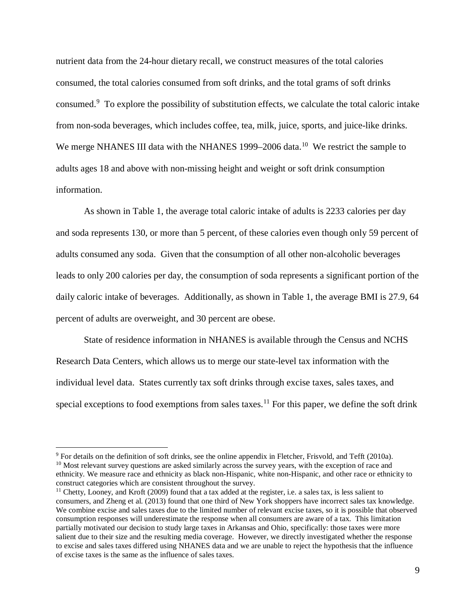nutrient data from the 24-hour dietary recall, we construct measures of the total calories consumed, the total calories consumed from soft drinks, and the total grams of soft drinks consumed.[9](#page-8-0) To explore the possibility of substitution effects, we calculate the total caloric intake from non-soda beverages, which includes coffee, tea, milk, juice, sports, and juice-like drinks. We merge NHANES III data with the NHANES 1999–2006 data.<sup>[10](#page-8-1)</sup> We restrict the sample to adults ages 18 and above with non-missing height and weight or soft drink consumption information.

As shown in Table 1, the average total caloric intake of adults is 2233 calories per day and soda represents 130, or more than 5 percent, of these calories even though only 59 percent of adults consumed any soda. Given that the consumption of all other non-alcoholic beverages leads to only 200 calories per day, the consumption of soda represents a significant portion of the daily caloric intake of beverages. Additionally, as shown in Table 1, the average BMI is 27.9, 64 percent of adults are overweight, and 30 percent are obese.

State of residence information in NHANES is available through the Census and NCHS Research Data Centers, which allows us to merge our state-level tax information with the individual level data. States currently tax soft drinks through excise taxes, sales taxes, and special exceptions to food exemptions from sales taxes.<sup>[11](#page-8-2)</sup> For this paper, we define the soft drink

<span id="page-8-1"></span><span id="page-8-0"></span><sup>9</sup> For details on the definition of soft drinks, see the online appendix in Fletcher, Frisvold, and Tefft (2010a). <sup>10</sup> Most relevant survey questions are asked similarly across the survey years, with the exception of race and ethnicity. We measure race and ethnicity as black non-Hispanic, white non-Hispanic, and other race or ethnicity to construct categories which are consistent throughout the survey.

<span id="page-8-2"></span><sup>&</sup>lt;sup>11</sup> Chetty, Looney, and Kroft (2009) found that a tax added at the register, i.e. a sales tax, is less salient to consumers, and Zheng et al. (2013) found that one third of New York shoppers have incorrect sales tax knowledge. We combine excise and sales taxes due to the limited number of relevant excise taxes, so it is possible that observed consumption responses will underestimate the response when all consumers are aware of a tax. This limitation partially motivated our decision to study large taxes in Arkansas and Ohio, specifically: those taxes were more salient due to their size and the resulting media coverage. However, we directly investigated whether the response to excise and sales taxes differed using NHANES data and we are unable to reject the hypothesis that the influence of excise taxes is the same as the influence of sales taxes.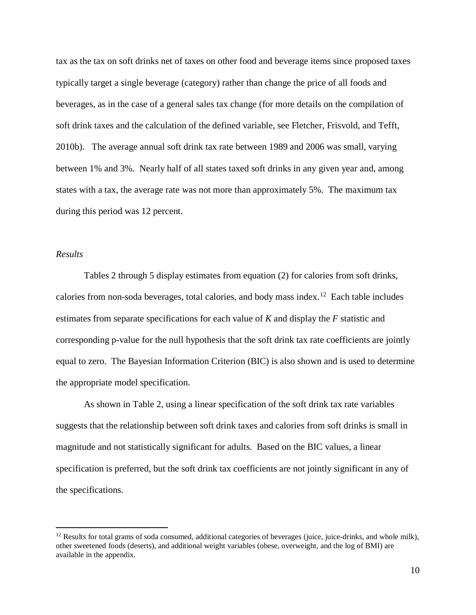tax as the tax on soft drinks net of taxes on other food and beverage items since proposed taxes typically target a single beverage (category) rather than change the price of all foods and beverages, as in the case of a general sales tax change (for more details on the compilation of soft drink taxes and the calculation of the defined variable, see Fletcher, Frisvold, and Tefft, 2010b). The average annual soft drink tax rate between 1989 and 2006 was small, varying between 1% and 3%. Nearly half of all states taxed soft drinks in any given year and, among states with a tax, the average rate was not more than approximately 5%. The maximum tax during this period was 12 percent.

### *Results*

 $\overline{a}$ 

Tables 2 through 5 display estimates from equation (2) for calories from soft drinks, calories from non-soda beverages, total calories, and body mass index.<sup>12</sup> Each table includes estimates from separate specifications for each value of *K* and display the *F* statistic and corresponding p-value for the null hypothesis that the soft drink tax rate coefficients are jointly equal to zero. The Bayesian Information Criterion (BIC) is also shown and is used to determine the appropriate model specification.

As shown in Table 2, using a linear specification of the soft drink tax rate variables suggests that the relationship between soft drink taxes and calories from soft drinks is small in magnitude and not statistically significant for adults. Based on the BIC values, a linear specification is preferred, but the soft drink tax coefficients are not jointly significant in any of the specifications.

<span id="page-9-0"></span> $12$  Results for total grams of soda consumed, additional categories of beverages (juice, juice-drinks, and whole milk), other sweetened foods (deserts), and additional weight variables (obese, overweight, and the log of BMI) are available in the appendix.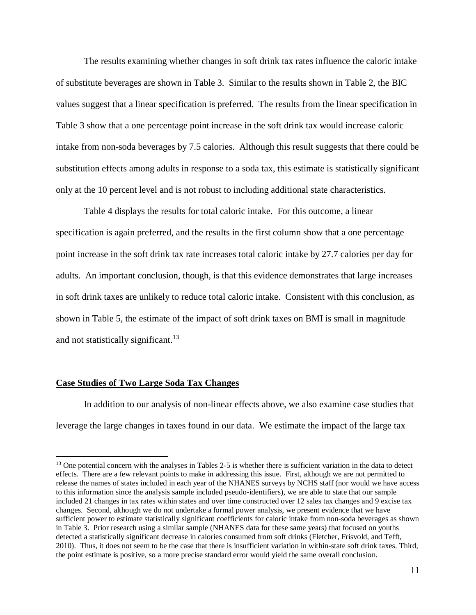The results examining whether changes in soft drink tax rates influence the caloric intake of substitute beverages are shown in Table 3. Similar to the results shown in Table 2, the BIC values suggest that a linear specification is preferred. The results from the linear specification in Table 3 show that a one percentage point increase in the soft drink tax would increase caloric intake from non-soda beverages by 7.5 calories. Although this result suggests that there could be substitution effects among adults in response to a soda tax, this estimate is statistically significant only at the 10 percent level and is not robust to including additional state characteristics.

Table 4 displays the results for total caloric intake. For this outcome, a linear specification is again preferred, and the results in the first column show that a one percentage point increase in the soft drink tax rate increases total caloric intake by 27.7 calories per day for adults. An important conclusion, though, is that this evidence demonstrates that large increases in soft drink taxes are unlikely to reduce total caloric intake. Consistent with this conclusion, as shown in Table 5, the estimate of the impact of soft drink taxes on BMI is small in magnitude and not statistically significant.<sup>[13](#page-10-0)</sup>

#### **Case Studies of Two Large Soda Tax Changes**

 $\overline{a}$ 

In addition to our analysis of non-linear effects above, we also examine case studies that leverage the large changes in taxes found in our data. We estimate the impact of the large tax

<span id="page-10-0"></span><sup>&</sup>lt;sup>13</sup> One potential concern with the analyses in Tables 2-5 is whether there is sufficient variation in the data to detect effects. There are a few relevant points to make in addressing this issue. First, although we are not permitted to release the names of states included in each year of the NHANES surveys by NCHS staff (nor would we have access to this information since the analysis sample included pseudo-identifiers), we are able to state that our sample included 21 changes in tax rates within states and over time constructed over 12 sales tax changes and 9 excise tax changes. Second, although we do not undertake a formal power analysis, we present evidence that we have sufficient power to estimate statistically significant coefficients for caloric intake from non-soda beverages as shown in Table 3. Prior research using a similar sample (NHANES data for these same years) that focused on youths detected a statistically significant decrease in calories consumed from soft drinks (Fletcher, Frisvold, and Tefft, 2010). Thus, it does not seem to be the case that there is insufficient variation in within-state soft drink taxes. Third, the point estimate is positive, so a more precise standard error would yield the same overall conclusion.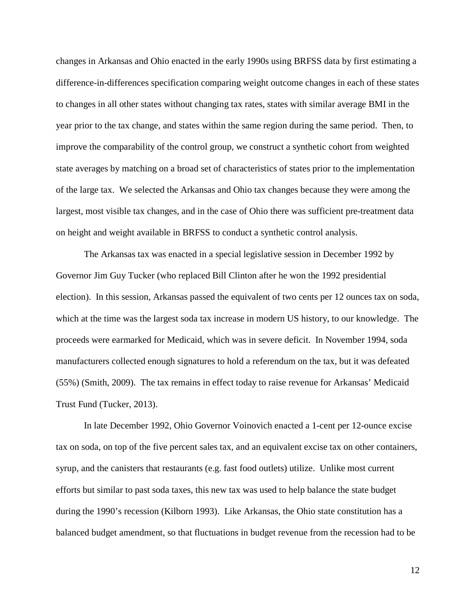changes in Arkansas and Ohio enacted in the early 1990s using BRFSS data by first estimating a difference-in-differences specification comparing weight outcome changes in each of these states to changes in all other states without changing tax rates, states with similar average BMI in the year prior to the tax change, and states within the same region during the same period. Then, to improve the comparability of the control group, we construct a synthetic cohort from weighted state averages by matching on a broad set of characteristics of states prior to the implementation of the large tax. We selected the Arkansas and Ohio tax changes because they were among the largest, most visible tax changes, and in the case of Ohio there was sufficient pre-treatment data on height and weight available in BRFSS to conduct a synthetic control analysis.

The Arkansas tax was enacted in a special legislative session in December 1992 by Governor Jim Guy Tucker (who replaced Bill Clinton after he won the 1992 presidential election). In this session, Arkansas passed the equivalent of two cents per 12 ounces tax on soda, which at the time was the largest soda tax increase in modern US history, to our knowledge. The proceeds were earmarked for Medicaid, which was in severe deficit. In November 1994, soda manufacturers collected enough signatures to hold a referendum on the tax, but it was defeated (55%) (Smith, 2009). The tax remains in effect today to raise revenue for Arkansas' Medicaid Trust Fund (Tucker, 2013).

In late December 1992, Ohio Governor Voinovich enacted a 1-cent per 12-ounce excise tax on soda, on top of the five percent sales tax, and an equivalent excise tax on other containers, syrup, and the canisters that restaurants (e.g. fast food outlets) utilize. Unlike most current efforts but similar to past soda taxes, this new tax was used to help balance the state budget during the 1990's recession (Kilborn 1993). Like Arkansas, the Ohio state constitution has a balanced budget amendment, so that fluctuations in budget revenue from the recession had to be

12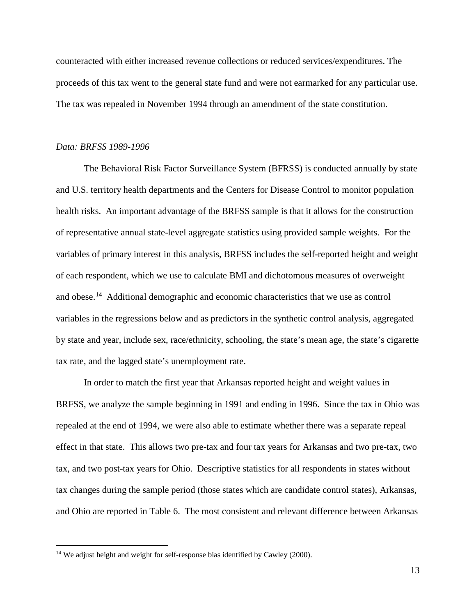counteracted with either increased revenue collections or reduced services/expenditures. The proceeds of this tax went to the general state fund and were not earmarked for any particular use. The tax was repealed in November 1994 through an amendment of the state constitution.

### *Data: BRFSS 1989-1996*

 $\overline{a}$ 

The Behavioral Risk Factor Surveillance System (BFRSS) is conducted annually by state and U.S. territory health departments and the Centers for Disease Control to monitor population health risks. An important advantage of the BRFSS sample is that it allows for the construction of representative annual state-level aggregate statistics using provided sample weights. For the variables of primary interest in this analysis, BRFSS includes the self-reported height and weight of each respondent, which we use to calculate BMI and dichotomous measures of overweight and obese.<sup>[14](#page-12-0)</sup> Additional demographic and economic characteristics that we use as control variables in the regressions below and as predictors in the synthetic control analysis, aggregated by state and year, include sex, race/ethnicity, schooling, the state's mean age, the state's cigarette tax rate, and the lagged state's unemployment rate.

In order to match the first year that Arkansas reported height and weight values in BRFSS, we analyze the sample beginning in 1991 and ending in 1996. Since the tax in Ohio was repealed at the end of 1994, we were also able to estimate whether there was a separate repeal effect in that state. This allows two pre-tax and four tax years for Arkansas and two pre-tax, two tax, and two post-tax years for Ohio. Descriptive statistics for all respondents in states without tax changes during the sample period (those states which are candidate control states), Arkansas, and Ohio are reported in Table 6. The most consistent and relevant difference between Arkansas

<span id="page-12-0"></span><sup>&</sup>lt;sup>14</sup> We adjust height and weight for self-response bias identified by Cawley (2000).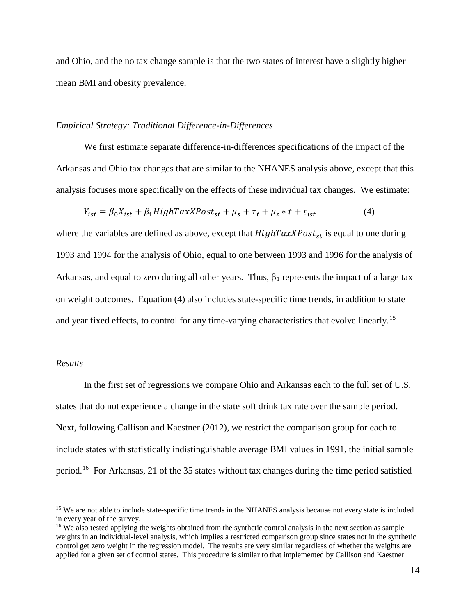and Ohio, and the no tax change sample is that the two states of interest have a slightly higher mean BMI and obesity prevalence.

#### *Empirical Strategy: Traditional Difference-in-Differences*

We first estimate separate difference-in-differences specifications of the impact of the Arkansas and Ohio tax changes that are similar to the NHANES analysis above, except that this analysis focuses more specifically on the effects of these individual tax changes. We estimate:

$$
Y_{ist} = \beta_0 X_{ist} + \beta_1 H ighT \, \alpha x X \, \text{Post}_{st} + \mu_s + \tau_t + \mu_s * t + \varepsilon_{ist} \tag{4}
$$

where the variables are defined as above, except that  $High TaxXPost_{st}$  is equal to one during 1993 and 1994 for the analysis of Ohio, equal to one between 1993 and 1996 for the analysis of Arkansas, and equal to zero during all other years. Thus,  $\beta_1$  represents the impact of a large tax on weight outcomes. Equation (4) also includes state-specific time trends, in addition to state and year fixed effects, to control for any time-varying characteristics that evolve linearly.<sup>[15](#page-13-0)</sup>

#### *Results*

 $\overline{a}$ 

In the first set of regressions we compare Ohio and Arkansas each to the full set of U.S. states that do not experience a change in the state soft drink tax rate over the sample period. Next, following Callison and Kaestner (2012), we restrict the comparison group for each to include states with statistically indistinguishable average BMI values in 1991, the initial sample period.[16](#page-13-1) For Arkansas, 21 of the 35 states without tax changes during the time period satisfied

<span id="page-13-0"></span><sup>&</sup>lt;sup>15</sup> We are not able to include state-specific time trends in the NHANES analysis because not every state is included in every year of the survey.

<span id="page-13-1"></span><sup>&</sup>lt;sup>16</sup> We also tested applying the weights obtained from the synthetic control analysis in the next section as sample weights in an individual-level analysis, which implies a restricted comparison group since states not in the synthetic control get zero weight in the regression model. The results are very similar regardless of whether the weights are applied for a given set of control states. This procedure is similar to that implemented by Callison and Kaestner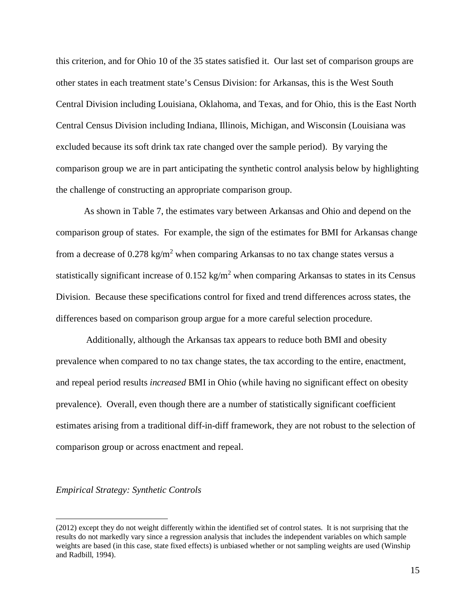this criterion, and for Ohio 10 of the 35 states satisfied it. Our last set of comparison groups are other states in each treatment state's Census Division: for Arkansas, this is the West South Central Division including Louisiana, Oklahoma, and Texas, and for Ohio, this is the East North Central Census Division including Indiana, Illinois, Michigan, and Wisconsin (Louisiana was excluded because its soft drink tax rate changed over the sample period). By varying the comparison group we are in part anticipating the synthetic control analysis below by highlighting the challenge of constructing an appropriate comparison group.

As shown in Table 7, the estimates vary between Arkansas and Ohio and depend on the comparison group of states. For example, the sign of the estimates for BMI for Arkansas change from a decrease of  $0.278 \text{ kg/m}^2$  when comparing Arkansas to no tax change states versus a statistically significant increase of  $0.152 \text{ kg/m}^2$  when comparing Arkansas to states in its Census Division. Because these specifications control for fixed and trend differences across states, the differences based on comparison group argue for a more careful selection procedure.

Additionally, although the Arkansas tax appears to reduce both BMI and obesity prevalence when compared to no tax change states, the tax according to the entire, enactment, and repeal period results *increased* BMI in Ohio (while having no significant effect on obesity prevalence). Overall, even though there are a number of statistically significant coefficient estimates arising from a traditional diff-in-diff framework, they are not robust to the selection of comparison group or across enactment and repeal.

#### *Empirical Strategy: Synthetic Controls*

<sup>(2012)</sup> except they do not weight differently within the identified set of control states. It is not surprising that the results do not markedly vary since a regression analysis that includes the independent variables on which sample weights are based (in this case, state fixed effects) is unbiased whether or not sampling weights are used (Winship and Radbill, 1994).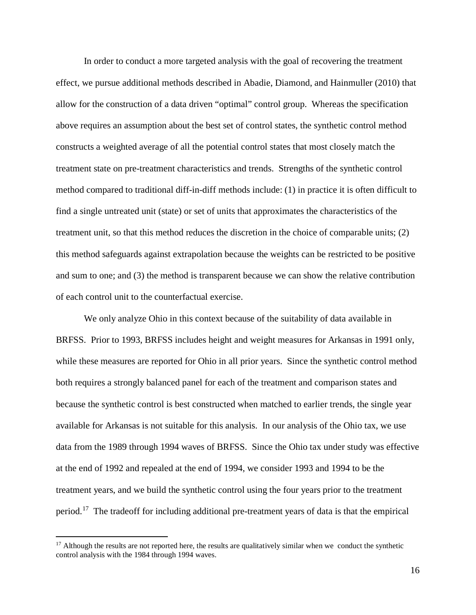In order to conduct a more targeted analysis with the goal of recovering the treatment effect, we pursue additional methods described in Abadie, Diamond, and Hainmuller (2010) that allow for the construction of a data driven "optimal" control group. Whereas the specification above requires an assumption about the best set of control states, the synthetic control method constructs a weighted average of all the potential control states that most closely match the treatment state on pre-treatment characteristics and trends. Strengths of the synthetic control method compared to traditional diff-in-diff methods include: (1) in practice it is often difficult to find a single untreated unit (state) or set of units that approximates the characteristics of the treatment unit, so that this method reduces the discretion in the choice of comparable units; (2) this method safeguards against extrapolation because the weights can be restricted to be positive and sum to one; and (3) the method is transparent because we can show the relative contribution of each control unit to the counterfactual exercise.

We only analyze Ohio in this context because of the suitability of data available in BRFSS. Prior to 1993, BRFSS includes height and weight measures for Arkansas in 1991 only, while these measures are reported for Ohio in all prior years. Since the synthetic control method both requires a strongly balanced panel for each of the treatment and comparison states and because the synthetic control is best constructed when matched to earlier trends, the single year available for Arkansas is not suitable for this analysis. In our analysis of the Ohio tax, we use data from the 1989 through 1994 waves of BRFSS. Since the Ohio tax under study was effective at the end of 1992 and repealed at the end of 1994, we consider 1993 and 1994 to be the treatment years, and we build the synthetic control using the four years prior to the treatment period.<sup>[17](#page-15-0)</sup> The tradeoff for including additional pre-treatment years of data is that the empirical

<span id="page-15-0"></span> $17$  Although the results are not reported here, the results are qualitatively similar when we conduct the synthetic control analysis with the 1984 through 1994 waves.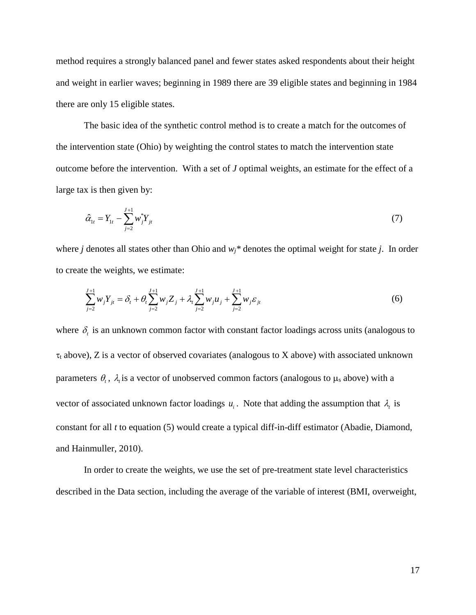method requires a strongly balanced panel and fewer states asked respondents about their height and weight in earlier waves; beginning in 1989 there are 39 eligible states and beginning in 1984 there are only 15 eligible states.

The basic idea of the synthetic control method is to create a match for the outcomes of the intervention state (Ohio) by weighting the control states to match the intervention state outcome before the intervention. With a set of *J* optimal weights, an estimate for the effect of a large tax is then given by:

$$
\hat{\alpha}_{1t} = Y_{1t} - \sum_{j=2}^{J+1} w_j^* Y_{jt} \tag{7}
$$

where *j* denotes all states other than Ohio and *wj\** denotes the optimal weight for state *j*. In order to create the weights, we estimate:

$$
\sum_{j=2}^{J+1} w_j Y_{jt} = \delta_t + \theta_t \sum_{j=2}^{J+1} w_j Z_j + \lambda_t \sum_{j=2}^{J+1} w_j u_j + \sum_{j=2}^{J+1} w_j \varepsilon_{jt}
$$
(6)

where  $\delta_t$  is an unknown common factor with constant factor loadings across units (analogous to  $\tau_t$  above), Z is a vector of observed covariates (analogous to X above) with associated unknown parameters  $\theta_t$ ,  $\lambda_t$  is a vector of unobserved common factors (analogous to  $\mu_s$  above) with a vector of associated unknown factor loadings  $u_i$ . Note that adding the assumption that  $\lambda_t$  is constant for all *t* to equation (5) would create a typical diff-in-diff estimator (Abadie, Diamond, and Hainmuller, 2010).

In order to create the weights, we use the set of pre-treatment state level characteristics described in the Data section, including the average of the variable of interest (BMI, overweight,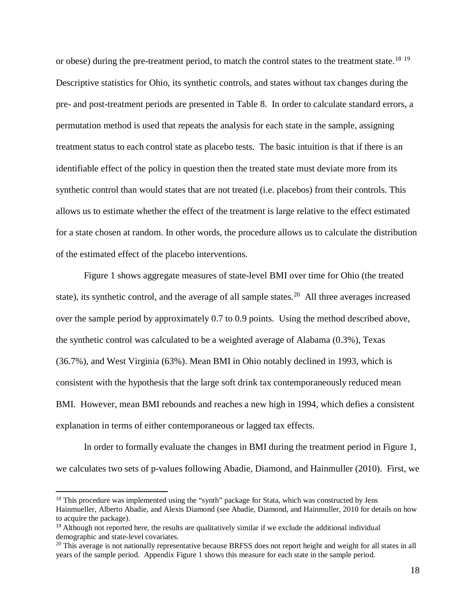or obese) during the pre-treatment period, to match the control states to the treatment state.<sup>[18](#page-17-0) 19</sup> Descriptive statistics for Ohio, its synthetic controls, and states without tax changes during the pre- and post-treatment periods are presented in Table 8. In order to calculate standard errors, a permutation method is used that repeats the analysis for each state in the sample, assigning treatment status to each control state as placebo tests. The basic intuition is that if there is an identifiable effect of the policy in question then the treated state must deviate more from its synthetic control than would states that are not treated (i.e. placebos) from their controls. This allows us to estimate whether the effect of the treatment is large relative to the effect estimated for a state chosen at random. In other words, the procedure allows us to calculate the distribution of the estimated effect of the placebo interventions.

Figure 1 shows aggregate measures of state-level BMI over time for Ohio (the treated state), its synthetic control, and the average of all sample states.<sup>[20](#page-17-2)</sup> All three averages increased over the sample period by approximately 0.7 to 0.9 points. Using the method described above, the synthetic control was calculated to be a weighted average of Alabama (0.3%), Texas (36.7%), and West Virginia (63%). Mean BMI in Ohio notably declined in 1993, which is consistent with the hypothesis that the large soft drink tax contemporaneously reduced mean BMI. However, mean BMI rebounds and reaches a new high in 1994, which defies a consistent explanation in terms of either contemporaneous or lagged tax effects.

In order to formally evaluate the changes in BMI during the treatment period in Figure 1, we calculates two sets of p-values following Abadie, Diamond, and Hainmuller (2010). First, we

<span id="page-17-0"></span><sup>&</sup>lt;sup>18</sup> This procedure was implemented using the "synth" package for Stata, which was constructed by Jens Hainmueller, Alberto Abadie, and Alexis Diamond (see Abadie, Diamond, and Hainmuller, 2010 for details on how to acquire the package).

<span id="page-17-1"></span><sup>&</sup>lt;sup>19</sup> Although not reported here, the results are qualitatively similar if we exclude the additional individual demographic and state-level covariates.

<span id="page-17-2"></span> $20$  This average is not nationally representative because BRFSS does not report height and weight for all states in all years of the sample period. Appendix Figure 1 shows this measure for each state in the sample period.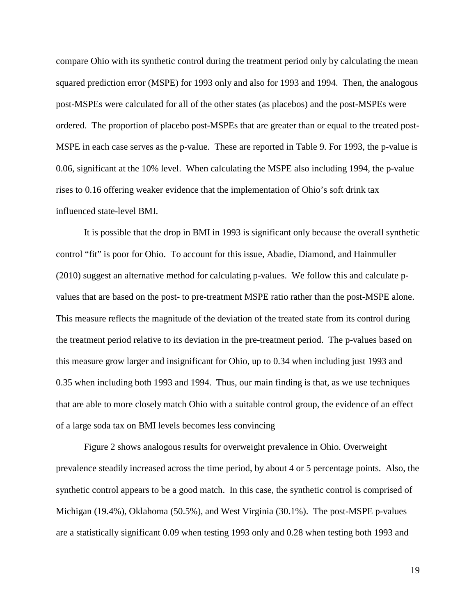compare Ohio with its synthetic control during the treatment period only by calculating the mean squared prediction error (MSPE) for 1993 only and also for 1993 and 1994. Then, the analogous post-MSPEs were calculated for all of the other states (as placebos) and the post-MSPEs were ordered. The proportion of placebo post-MSPEs that are greater than or equal to the treated post-MSPE in each case serves as the p-value. These are reported in Table 9. For 1993, the p-value is 0.06, significant at the 10% level. When calculating the MSPE also including 1994, the p-value rises to 0.16 offering weaker evidence that the implementation of Ohio's soft drink tax influenced state-level BMI.

It is possible that the drop in BMI in 1993 is significant only because the overall synthetic control "fit" is poor for Ohio. To account for this issue, Abadie, Diamond, and Hainmuller (2010) suggest an alternative method for calculating p-values. We follow this and calculate pvalues that are based on the post- to pre-treatment MSPE ratio rather than the post-MSPE alone. This measure reflects the magnitude of the deviation of the treated state from its control during the treatment period relative to its deviation in the pre-treatment period. The p-values based on this measure grow larger and insignificant for Ohio, up to 0.34 when including just 1993 and 0.35 when including both 1993 and 1994. Thus, our main finding is that, as we use techniques that are able to more closely match Ohio with a suitable control group, the evidence of an effect of a large soda tax on BMI levels becomes less convincing

Figure 2 shows analogous results for overweight prevalence in Ohio. Overweight prevalence steadily increased across the time period, by about 4 or 5 percentage points. Also, the synthetic control appears to be a good match. In this case, the synthetic control is comprised of Michigan (19.4%), Oklahoma (50.5%), and West Virginia (30.1%). The post-MSPE p-values are a statistically significant 0.09 when testing 1993 only and 0.28 when testing both 1993 and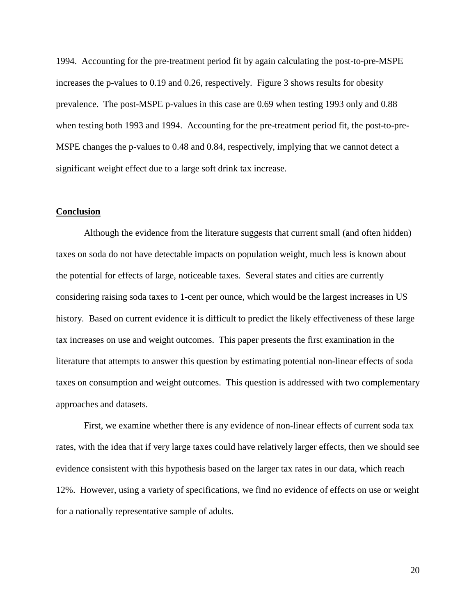1994. Accounting for the pre-treatment period fit by again calculating the post-to-pre-MSPE increases the p-values to 0.19 and 0.26, respectively. Figure 3 shows results for obesity prevalence. The post-MSPE p-values in this case are 0.69 when testing 1993 only and 0.88 when testing both 1993 and 1994. Accounting for the pre-treatment period fit, the post-to-pre-MSPE changes the p-values to 0.48 and 0.84, respectively, implying that we cannot detect a significant weight effect due to a large soft drink tax increase.

### **Conclusion**

Although the evidence from the literature suggests that current small (and often hidden) taxes on soda do not have detectable impacts on population weight, much less is known about the potential for effects of large, noticeable taxes. Several states and cities are currently considering raising soda taxes to 1-cent per ounce, which would be the largest increases in US history. Based on current evidence it is difficult to predict the likely effectiveness of these large tax increases on use and weight outcomes. This paper presents the first examination in the literature that attempts to answer this question by estimating potential non-linear effects of soda taxes on consumption and weight outcomes. This question is addressed with two complementary approaches and datasets.

First, we examine whether there is any evidence of non-linear effects of current soda tax rates, with the idea that if very large taxes could have relatively larger effects, then we should see evidence consistent with this hypothesis based on the larger tax rates in our data, which reach 12%. However, using a variety of specifications, we find no evidence of effects on use or weight for a nationally representative sample of adults.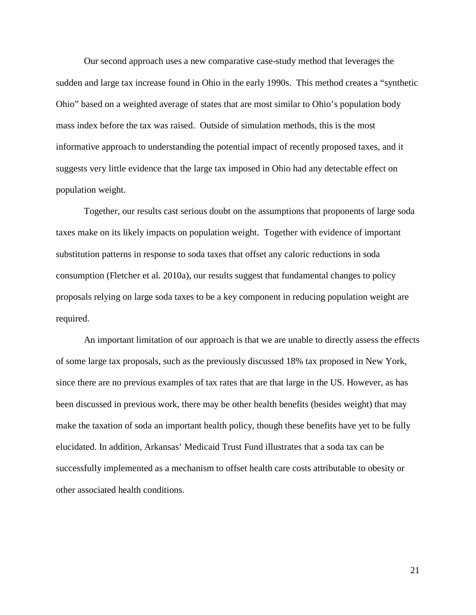Our second approach uses a new comparative case-study method that leverages the sudden and large tax increase found in Ohio in the early 1990s. This method creates a "synthetic Ohio" based on a weighted average of states that are most similar to Ohio's population body mass index before the tax was raised. Outside of simulation methods, this is the most informative approach to understanding the potential impact of recently proposed taxes, and it suggests very little evidence that the large tax imposed in Ohio had any detectable effect on population weight.

Together, our results cast serious doubt on the assumptions that proponents of large soda taxes make on its likely impacts on population weight. Together with evidence of important substitution patterns in response to soda taxes that offset any caloric reductions in soda consumption (Fletcher et al. 2010a), our results suggest that fundamental changes to policy proposals relying on large soda taxes to be a key component in reducing population weight are required.

An important limitation of our approach is that we are unable to directly assess the effects of some large tax proposals, such as the previously discussed 18% tax proposed in New York, since there are no previous examples of tax rates that are that large in the US. However, as has been discussed in previous work, there may be other health benefits (besides weight) that may make the taxation of soda an important health policy, though these benefits have yet to be fully elucidated. In addition, Arkansas' Medicaid Trust Fund illustrates that a soda tax can be successfully implemented as a mechanism to offset health care costs attributable to obesity or other associated health conditions.

21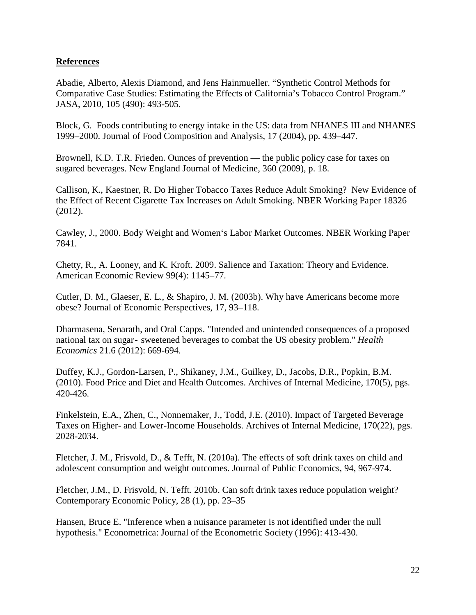## **References**

Abadie, Alberto, Alexis Diamond, and Jens Hainmueller. "Synthetic Control Methods for Comparative Case Studies: Estimating the Effects of California's Tobacco Control Program." JASA, 2010, 105 (490): 493-505.

Block, G. Foods contributing to energy intake in the US: data from NHANES III and NHANES 1999–2000. Journal of Food Composition and Analysis, 17 (2004), pp. 439–447.

Brownell, K.D. T.R. Frieden. Ounces of prevention — the public policy case for taxes on sugared beverages. New England Journal of Medicine, 360 (2009), p. 18.

Callison, K., Kaestner, R. Do Higher Tobacco Taxes Reduce Adult Smoking? New Evidence of the Effect of Recent Cigarette Tax Increases on Adult Smoking. NBER Working Paper 18326 (2012).

Cawley, J., 2000. Body Weight and Women's Labor Market Outcomes. NBER Working Paper 7841.

Chetty, R., A. Looney, and K. Kroft. 2009. Salience and Taxation: Theory and Evidence. American Economic Review 99(4): 1145–77.

Cutler, D. M., Glaeser, E. L., & Shapiro, J. M. (2003b). Why have Americans become more obese? Journal of Economic Perspectives, 17, 93–118.

Dharmasena, Senarath, and Oral Capps. "Intended and unintended consequences of a proposed national tax on sugar‐ sweetened beverages to combat the US obesity problem." *Health Economics* 21.6 (2012): 669-694.

Duffey, K.J., Gordon-Larsen, P., Shikaney, J.M., Guilkey, D., Jacobs, D.R., Popkin, B.M. (2010). Food Price and Diet and Health Outcomes. Archives of Internal Medicine, 170(5), pgs. 420-426.

Finkelstein, E.A., Zhen, C., Nonnemaker, J., Todd, J.E. (2010). Impact of Targeted Beverage Taxes on Higher- and Lower-Income Households. Archives of Internal Medicine, 170(22), pgs. 2028-2034.

Fletcher, J. M., Frisvold, D., & Tefft, N. (2010a). The effects of soft drink taxes on child and adolescent consumption and weight outcomes. Journal of Public Economics, 94, 967-974.

Fletcher, J.M., D. Frisvold, N. Tefft. 2010b. Can soft drink taxes reduce population weight? Contemporary Economic Policy, 28 (1), pp. 23–35

Hansen, Bruce E. "Inference when a nuisance parameter is not identified under the null hypothesis." Econometrica: Journal of the Econometric Society (1996): 413-430.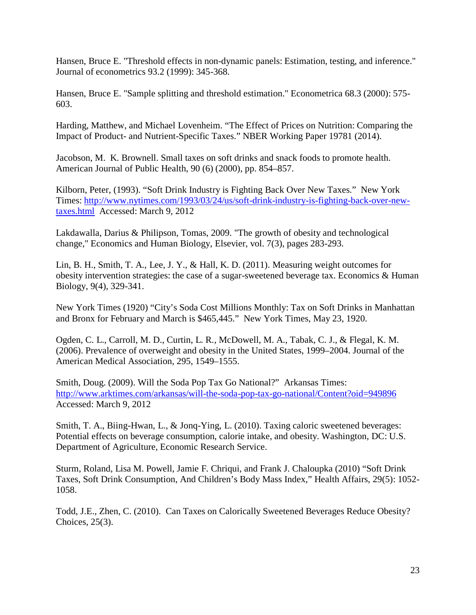Hansen, Bruce E. "Threshold effects in non-dynamic panels: Estimation, testing, and inference." Journal of econometrics 93.2 (1999): 345-368.

Hansen, Bruce E. "Sample splitting and threshold estimation." Econometrica 68.3 (2000): 575- 603.

Harding, Matthew, and Michael Lovenheim. "The Effect of Prices on Nutrition: Comparing the Impact of Product- and Nutrient-Specific Taxes." NBER Working Paper 19781 (2014).

Jacobson, M. K. Brownell. Small taxes on soft drinks and snack foods to promote health. American Journal of Public Health, 90 (6) (2000), pp. 854–857.

Kilborn, Peter, (1993). "Soft Drink Industry is Fighting Back Over New Taxes." New York Times: [http://www.nytimes.com/1993/03/24/us/soft-drink-industry-is-fighting-back-over-new](http://www.nytimes.com/1993/03/24/us/soft-drink-industry-is-fighting-back-over-new-taxes.html)[taxes.html](http://www.nytimes.com/1993/03/24/us/soft-drink-industry-is-fighting-back-over-new-taxes.html) Accessed: March 9, 2012

Lakdawalla, Darius & Philipson, Tomas, 2009. "The growth of obesity and technological change," Economics and Human Biology, Elsevier, vol. 7(3), pages 283-293.

Lin, B. H., Smith, T. A., Lee, J. Y., & Hall, K. D. (2011). Measuring weight outcomes for obesity intervention strategies: the case of a sugar-sweetened beverage tax. Economics & Human Biology, 9(4), 329-341.

New York Times (1920) "City's Soda Cost Millions Monthly: Tax on Soft Drinks in Manhattan and Bronx for February and March is \$465,445." New York Times, May 23, 1920.

Ogden, C. L., Carroll, M. D., Curtin, L. R., McDowell, M. A., Tabak, C. J., & Flegal, K. M. (2006). Prevalence of overweight and obesity in the United States, 1999–2004. Journal of the American Medical Association, 295, 1549–1555.

Smith, Doug. (2009). Will the Soda Pop Tax Go National?" Arkansas Times: <http://www.arktimes.com/arkansas/will-the-soda-pop-tax-go-national/Content?oid=949896> Accessed: March 9, 2012

Smith, T. A., Biing-Hwan, L., & Jonq-Ying, L. (2010). Taxing caloric sweetened beverages: Potential effects on beverage consumption, calorie intake, and obesity. Washington, DC: U.S. Department of Agriculture, Economic Research Service.

Sturm, Roland, Lisa M. Powell, Jamie F. Chriqui, and Frank J. Chaloupka (2010) "Soft Drink Taxes, Soft Drink Consumption, And Children's Body Mass Index," Health Affairs, 29(5): 1052- 1058.

Todd, J.E., Zhen, C. (2010). Can Taxes on Calorically Sweetened Beverages Reduce Obesity? Choices, 25(3).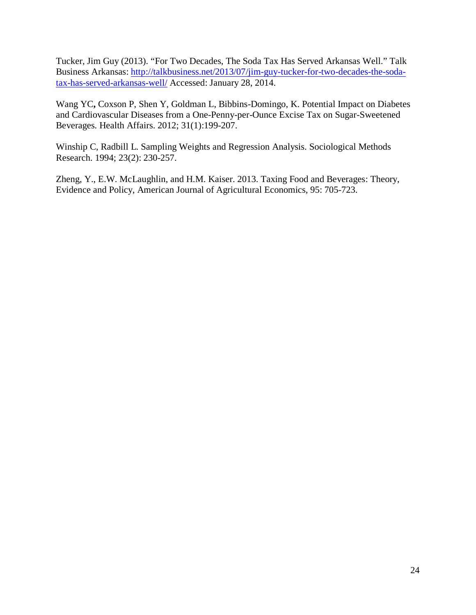Tucker, Jim Guy (2013). "For Two Decades, The Soda Tax Has Served Arkansas Well." Talk Business Arkansas: [http://talkbusiness.net/2013/07/jim-guy-tucker-for-two-decades-the-soda](http://talkbusiness.net/2013/07/jim-guy-tucker-for-two-decades-the-soda-tax-has-served-arkansas-well/)[tax-has-served-arkansas-well/](http://talkbusiness.net/2013/07/jim-guy-tucker-for-two-decades-the-soda-tax-has-served-arkansas-well/) Accessed: January 28, 2014.

Wang YC**,** Coxson P, Shen Y, Goldman L, Bibbins-Domingo, K. Potential Impact on Diabetes and Cardiovascular Diseases from a One-Penny-per-Ounce Excise Tax on Sugar-Sweetened Beverages. Health Affairs. 2012; 31(1):199-207.

Winship C, Radbill L. Sampling Weights and Regression Analysis. Sociological Methods Research. 1994; 23(2): 230-257.

Zheng, Y., E.W. McLaughlin, and H.M. Kaiser. 2013. Taxing Food and Beverages: Theory, Evidence and Policy, American Journal of Agricultural Economics, 95: 705-723.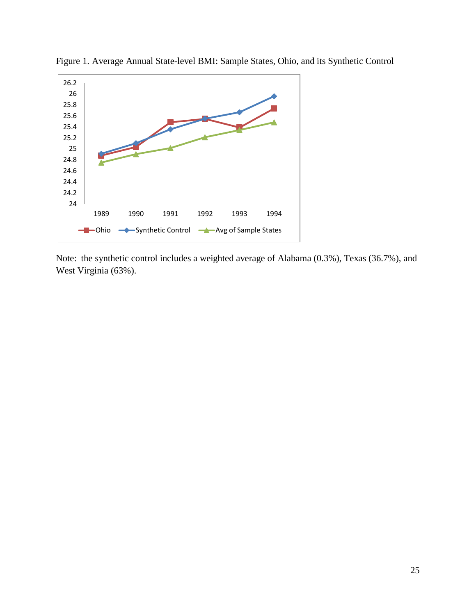

Figure 1. Average Annual State-level BMI: Sample States, Ohio, and its Synthetic Control

Note: the synthetic control includes a weighted average of Alabama (0.3%), Texas (36.7%), and West Virginia (63%).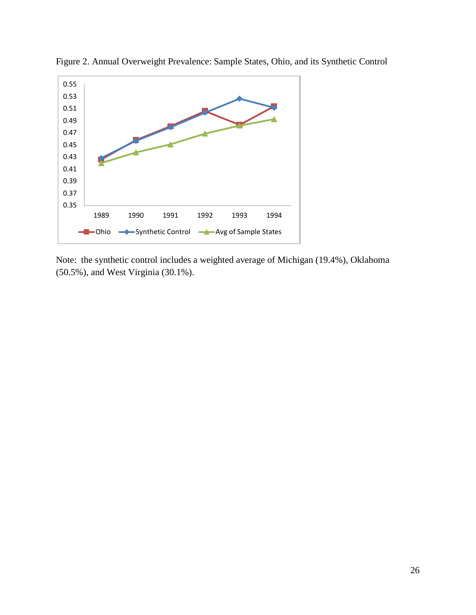

Figure 2. Annual Overweight Prevalence: Sample States, Ohio, and its Synthetic Control

Note: the synthetic control includes a weighted average of Michigan (19.4%), Oklahoma (50.5%), and West Virginia (30.1%).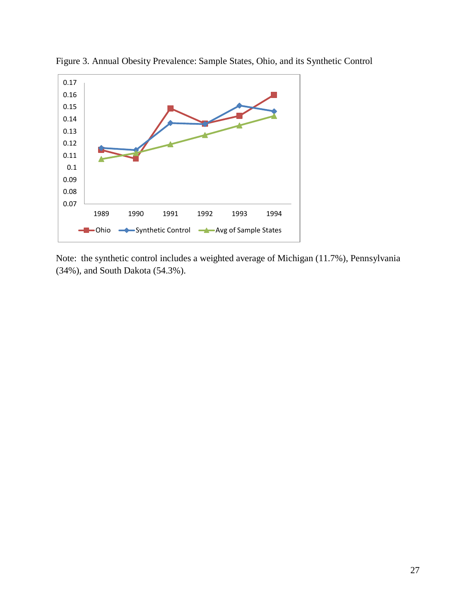

Figure 3. Annual Obesity Prevalence: Sample States, Ohio, and its Synthetic Control

Note: the synthetic control includes a weighted average of Michigan (11.7%), Pennsylvania (34%), and South Dakota (54.3%).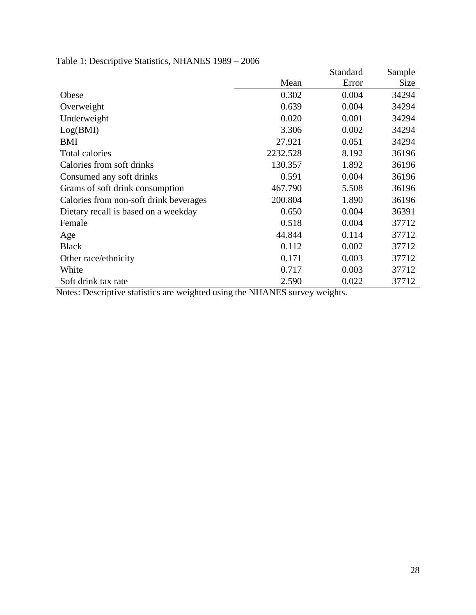|                                        |          | Standard | Sample      |
|----------------------------------------|----------|----------|-------------|
|                                        | Mean     | Error    | <b>Size</b> |
| Obese                                  | 0.302    | 0.004    | 34294       |
| Overweight                             | 0.639    | 0.004    | 34294       |
| Underweight                            | 0.020    | 0.001    | 34294       |
| Log(BMI)                               | 3.306    | 0.002    | 34294       |
| <b>BMI</b>                             | 27.921   | 0.051    | 34294       |
| <b>Total calories</b>                  | 2232.528 | 8.192    | 36196       |
| Calories from soft drinks              | 130.357  | 1.892    | 36196       |
| Consumed any soft drinks               | 0.591    | 0.004    | 36196       |
| Grams of soft drink consumption        | 467.790  | 5.508    | 36196       |
| Calories from non-soft drink beverages | 200.804  | 1.890    | 36196       |
| Dietary recall is based on a weekday   | 0.650    | 0.004    | 36391       |
| Female                                 | 0.518    | 0.004    | 37712       |
| Age                                    | 44.844   | 0.114    | 37712       |
| <b>Black</b>                           | 0.112    | 0.002    | 37712       |
| Other race/ethnicity                   | 0.171    | 0.003    | 37712       |
| White                                  | 0.717    | 0.003    | 37712       |
| Soft drink tax rate                    | 2.590    | 0.022    | 37712       |

# Table 1: Descriptive Statistics, NHANES 1989 – 2006

Notes: Descriptive statistics are weighted using the NHANES survey weights.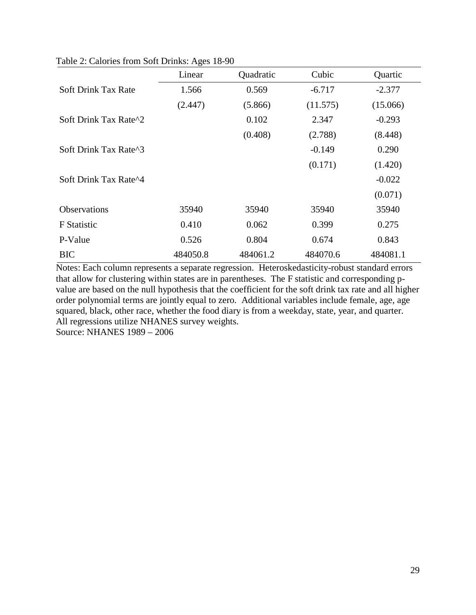|                            | O<br>Linear | Quadratic | Cubic    | Quartic  |
|----------------------------|-------------|-----------|----------|----------|
| <b>Soft Drink Tax Rate</b> | 1.566       | 0.569     | $-6.717$ | $-2.377$ |
|                            | (2.447)     | (5.866)   | (11.575) | (15.066) |
| Soft Drink Tax Rate^2      |             | 0.102     | 2.347    | $-0.293$ |
|                            |             | (0.408)   | (2.788)  | (8.448)  |
| Soft Drink Tax Rate^3      |             |           | $-0.149$ | 0.290    |
|                            |             |           | (0.171)  | (1.420)  |
| Soft Drink Tax Rate^4      |             |           |          | $-0.022$ |
|                            |             |           |          | (0.071)  |
| <b>Observations</b>        | 35940       | 35940     | 35940    | 35940    |
| <b>F</b> Statistic         | 0.410       | 0.062     | 0.399    | 0.275    |
| P-Value                    | 0.526       | 0.804     | 0.674    | 0.843    |
| <b>BIC</b>                 | 484050.8    | 484061.2  | 484070.6 | 484081.1 |

Table 2: Calories from Soft Drinks: Ages 18-90

Notes: Each column represents a separate regression. Heteroskedasticity-robust standard errors that allow for clustering within states are in parentheses. The F statistic and corresponding pvalue are based on the null hypothesis that the coefficient for the soft drink tax rate and all higher order polynomial terms are jointly equal to zero. Additional variables include female, age, age squared, black, other race, whether the food diary is from a weekday, state, year, and quarter. All regressions utilize NHANES survey weights.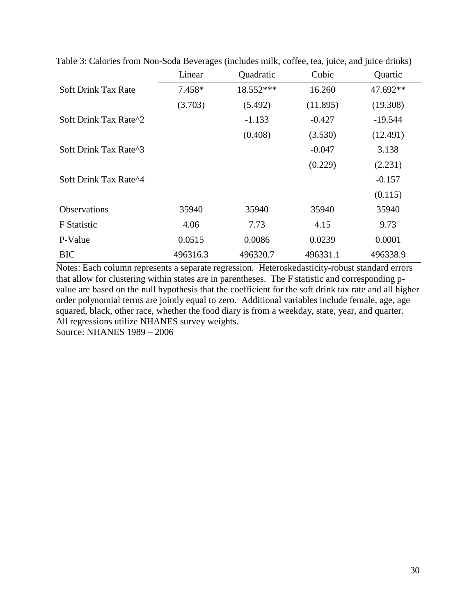|                            | Linear   | Quadratic | Cubic    | Quartic   |
|----------------------------|----------|-----------|----------|-----------|
| <b>Soft Drink Tax Rate</b> | 7.458*   | 18.552*** | 16.260   | 47.692**  |
|                            | (3.703)  | (5.492)   | (11.895) | (19.308)  |
| Soft Drink Tax Rate^2      |          | $-1.133$  | $-0.427$ | $-19.544$ |
|                            |          | (0.408)   | (3.530)  | (12.491)  |
| Soft Drink Tax Rate^3      |          |           | $-0.047$ | 3.138     |
|                            |          |           | (0.229)  | (2.231)   |
| Soft Drink Tax Rate^4      |          |           |          | $-0.157$  |
|                            |          |           |          | (0.115)   |
| <b>Observations</b>        | 35940    | 35940     | 35940    | 35940     |
| F Statistic                | 4.06     | 7.73      | 4.15     | 9.73      |
| P-Value                    | 0.0515   | 0.0086    | 0.0239   | 0.0001    |
| <b>BIC</b>                 | 496316.3 | 496320.7  | 496331.1 | 496338.9  |

Table 3: Calories from Non-Soda Beverages (includes milk, coffee, tea, juice, and juice drinks)

Notes: Each column represents a separate regression. Heteroskedasticity-robust standard errors that allow for clustering within states are in parentheses. The F statistic and corresponding pvalue are based on the null hypothesis that the coefficient for the soft drink tax rate and all higher order polynomial terms are jointly equal to zero. Additional variables include female, age, age squared, black, other race, whether the food diary is from a weekday, state, year, and quarter. All regressions utilize NHANES survey weights.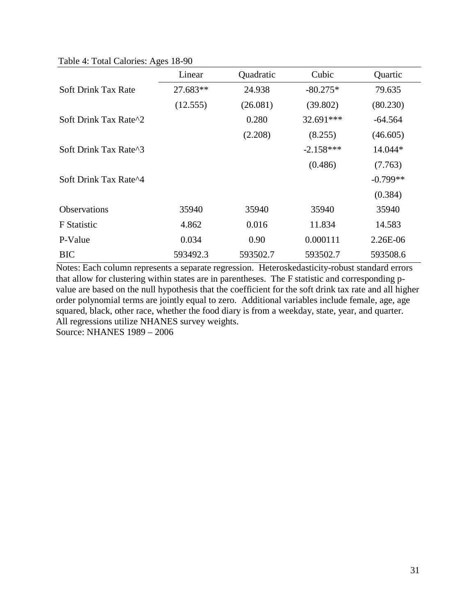Table 4: Total Calories: Ages 18-90

|                            | Linear   | Quadratic | Cubic       | Quartic    |
|----------------------------|----------|-----------|-------------|------------|
| <b>Soft Drink Tax Rate</b> | 27.683** | 24.938    | $-80.275*$  | 79.635     |
|                            | (12.555) | (26.081)  | (39.802)    | (80.230)   |
| Soft Drink Tax Rate^2      |          | 0.280     | 32.691***   | $-64.564$  |
|                            |          | (2.208)   | (8.255)     | (46.605)   |
| Soft Drink Tax Rate^3      |          |           | $-2.158***$ | 14.044*    |
|                            |          |           | (0.486)     | (7.763)    |
| Soft Drink Tax Rate^4      |          |           |             | $-0.799**$ |
|                            |          |           |             | (0.384)    |
| <b>Observations</b>        | 35940    | 35940     | 35940       | 35940      |
| F Statistic                | 4.862    | 0.016     | 11.834      | 14.583     |
| P-Value                    | 0.034    | 0.90      | 0.000111    | 2.26E-06   |
| <b>BIC</b>                 | 593492.3 | 593502.7  | 593502.7    | 593508.6   |

Notes: Each column represents a separate regression. Heteroskedasticity-robust standard errors that allow for clustering within states are in parentheses. The F statistic and corresponding pvalue are based on the null hypothesis that the coefficient for the soft drink tax rate and all higher order polynomial terms are jointly equal to zero. Additional variables include female, age, age squared, black, other race, whether the food diary is from a weekday, state, year, and quarter. All regressions utilize NHANES survey weights.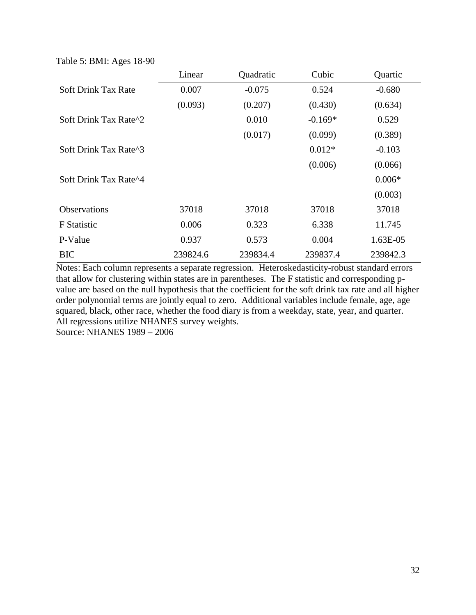Table 5: BMI: Ages 18-90

|                            | Linear   | Quadratic | Cubic     | Quartic  |
|----------------------------|----------|-----------|-----------|----------|
| <b>Soft Drink Tax Rate</b> | 0.007    | $-0.075$  | 0.524     | $-0.680$ |
|                            | (0.093)  | (0.207)   | (0.430)   | (0.634)  |
| Soft Drink Tax Rate^2      |          | 0.010     | $-0.169*$ | 0.529    |
|                            |          | (0.017)   | (0.099)   | (0.389)  |
| Soft Drink Tax Rate^3      |          |           | $0.012*$  | $-0.103$ |
|                            |          |           | (0.006)   | (0.066)  |
| Soft Drink Tax Rate^4      |          |           |           | $0.006*$ |
|                            |          |           |           | (0.003)  |
| <b>Observations</b>        | 37018    | 37018     | 37018     | 37018    |
| F Statistic                | 0.006    | 0.323     | 6.338     | 11.745   |
| P-Value                    | 0.937    | 0.573     | 0.004     | 1.63E-05 |
| <b>BIC</b>                 | 239824.6 | 239834.4  | 239837.4  | 239842.3 |

Notes: Each column represents a separate regression. Heteroskedasticity-robust standard errors that allow for clustering within states are in parentheses. The F statistic and corresponding pvalue are based on the null hypothesis that the coefficient for the soft drink tax rate and all higher order polynomial terms are jointly equal to zero. Additional variables include female, age, age squared, black, other race, whether the food diary is from a weekday, state, year, and quarter. All regressions utilize NHANES survey weights.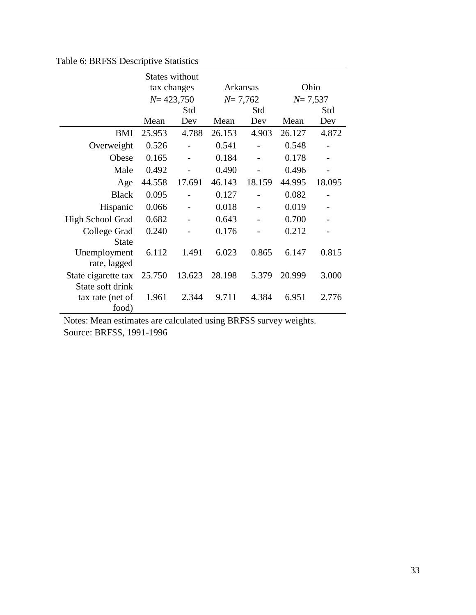# Table 6: BRFSS Descriptive Statistics

|                     |        | <b>States without</b> |             |          |             |        |  |
|---------------------|--------|-----------------------|-------------|----------|-------------|--------|--|
|                     |        | tax changes           |             | Arkansas |             | Ohio   |  |
|                     |        | $N = 423,750$         | $N = 7,762$ |          | $N = 7,537$ |        |  |
|                     |        | Std                   |             | Std      |             | Std    |  |
|                     | Mean   | Dev                   | Mean        | Dev      | Mean        | Dev    |  |
| BMI                 | 25.953 | 4.788                 | 26.153      | 4.903    | 26.127      | 4.872  |  |
| Overweight          | 0.526  |                       | 0.541       |          | 0.548       |        |  |
| Obese               | 0.165  |                       | 0.184       |          | 0.178       |        |  |
| Male                | 0.492  |                       | 0.490       |          | 0.496       |        |  |
| Age                 | 44.558 | 17.691                | 46.143      | 18.159   | 44.995      | 18.095 |  |
| <b>Black</b>        | 0.095  |                       | 0.127       |          | 0.082       |        |  |
| Hispanic            | 0.066  |                       | 0.018       |          | 0.019       |        |  |
| High School Grad    | 0.682  |                       | 0.643       |          | 0.700       |        |  |
| College Grad        | 0.240  |                       | 0.176       |          | 0.212       |        |  |
| <b>State</b>        |        |                       |             |          |             |        |  |
| Unemployment        | 6.112  | 1.491                 | 6.023       | 0.865    | 6.147       | 0.815  |  |
| rate, lagged        |        |                       |             |          |             |        |  |
| State cigarette tax | 25.750 | 13.623                | 28.198      | 5.379    | 20.999      | 3.000  |  |
| State soft drink    |        |                       |             |          |             |        |  |
| tax rate (net of    | 1.961  | 2.344                 | 9.711       | 4.384    | 6.951       | 2.776  |  |
| food)               |        |                       |             |          |             |        |  |

Notes: Mean estimates are calculated using BRFSS survey weights.

Source: BRFSS, 1991-1996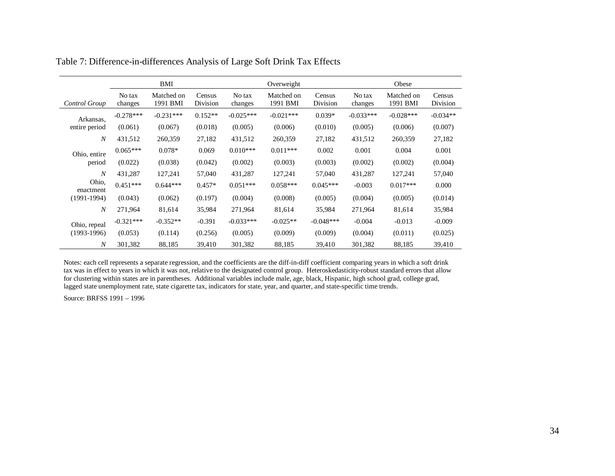|                    |                   | BMI                    |                    |                   | Overweight             |                    |                   | Obese                  |                    |
|--------------------|-------------------|------------------------|--------------------|-------------------|------------------------|--------------------|-------------------|------------------------|--------------------|
| Control Group      | No tax<br>changes | Matched on<br>1991 BMI | Census<br>Division | No tax<br>changes | Matched on<br>1991 BMI | Census<br>Division | No tax<br>changes | Matched on<br>1991 BMI | Census<br>Division |
| Arkansas,          | $-0.278***$       | $-0.231***$            | $0.152**$          | $-0.025***$       | $-0.021***$            | $0.039*$           | $-0.033***$       | $-0.028***$            | $-0.034**$         |
| entire period      | (0.061)           | (0.067)                | (0.018)            | (0.005)           | (0.006)                | (0.010)            | (0.005)           | (0.006)                | (0.007)            |
| $\overline{N}$     | 431,512           | 260,359                | 27,182             | 431,512           | 260,359                | 27,182             | 431,512           | 260,359                | 27,182             |
| Ohio, entire       | $0.065***$        | $0.078*$               | 0.069              | $0.010***$        | $0.011***$             | 0.002              | 0.001             | 0.004                  | 0.001              |
| period             | (0.022)           | (0.038)                | (0.042)            | (0.002)           | (0.003)                | (0.003)            | (0.002)           | (0.002)                | (0.004)            |
| $\overline{N}$     | 431,287           | 127,241                | 57,040             | 431,287           | 127,241                | 57,040             | 431,287           | 127,241                | 57,040             |
| Ohio,<br>enactment | $0.451***$        | $0.644***$             | $0.457*$           | $0.051***$        | $0.058***$             | $0.045***$         | $-0.003$          | $0.017***$             | 0.000              |
| $(1991-1994)$      | (0.043)           | (0.062)                | (0.197)            | (0.004)           | (0.008)                | (0.005)            | (0.004)           | (0.005)                | (0.014)            |
| $\overline{N}$     | 271,964           | 81,614                 | 35,984             | 271,964           | 81,614                 | 35,984             | 271,964           | 81,614                 | 35,984             |
| Ohio, repeal       | $-0.321***$       | $-0.352**$             | $-0.391$           | $-0.033***$       | $-0.025**$             | $-0.048***$        | $-0.004$          | $-0.013$               | $-0.009$           |
| $(1993-1996)$      | (0.053)           | (0.114)                | (0.256)            | (0.005)           | (0.009)                | (0.009)            | (0.004)           | (0.011)                | (0.025)            |
| $\boldsymbol{N}$   | 301,382           | 88,185                 | 39,410             | 301,382           | 88,185                 | 39,410             | 301,382           | 88,185                 | 39,410             |

Table 7: Difference-in-differences Analysis of Large Soft Drink Tax Effects

Notes: each cell represents a separate regression, and the coefficients are the diff-in-diff coefficient comparing years in which a soft drink tax was in effect to years in which it was not, relative to the designated control group. Heteroskedasticity-robust standard errors that allow for clustering within states are in parentheses. Additional variables include male, age, black, Hispanic, high school grad, college grad, lagged state unemployment rate, state cigarette tax, indicators for state, year, and quarter, and state-specific time trends.

Source: BRFSS 1991 – 1996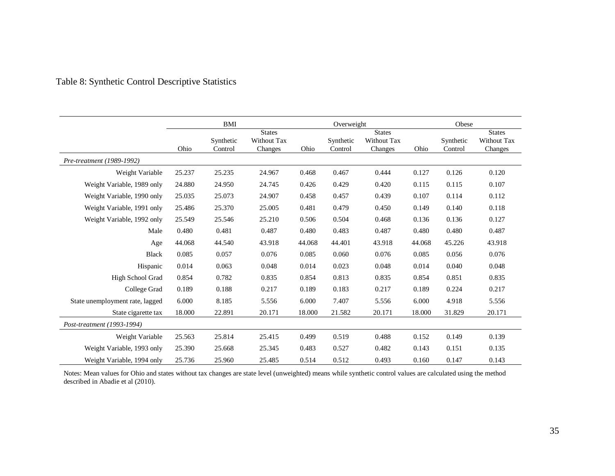|                                 | BMI    |                      |                                         | Overweight |                      |                                         | Obese  |                      |                                         |
|---------------------------------|--------|----------------------|-----------------------------------------|------------|----------------------|-----------------------------------------|--------|----------------------|-----------------------------------------|
|                                 | Ohio   | Synthetic<br>Control | <b>States</b><br>Without Tax<br>Changes | Ohio       | Synthetic<br>Control | <b>States</b><br>Without Tax<br>Changes | Ohio   | Synthetic<br>Control | <b>States</b><br>Without Tax<br>Changes |
| Pre-treatment (1989-1992)       |        |                      |                                         |            |                      |                                         |        |                      |                                         |
| Weight Variable                 | 25.237 | 25.235               | 24.967                                  | 0.468      | 0.467                | 0.444                                   | 0.127  | 0.126                | 0.120                                   |
| Weight Variable, 1989 only      | 24.880 | 24.950               | 24.745                                  | 0.426      | 0.429                | 0.420                                   | 0.115  | 0.115                | 0.107                                   |
| Weight Variable, 1990 only      | 25.035 | 25.073               | 24.907                                  | 0.458      | 0.457                | 0.439                                   | 0.107  | 0.114                | 0.112                                   |
| Weight Variable, 1991 only      | 25.486 | 25.370               | 25.005                                  | 0.481      | 0.479                | 0.450                                   | 0.149  | 0.140                | 0.118                                   |
| Weight Variable, 1992 only      | 25.549 | 25.546               | 25.210                                  | 0.506      | 0.504                | 0.468                                   | 0.136  | 0.136                | 0.127                                   |
| Male                            | 0.480  | 0.481                | 0.487                                   | 0.480      | 0.483                | 0.487                                   | 0.480  | 0.480                | 0.487                                   |
| Age                             | 44.068 | 44.540               | 43.918                                  | 44.068     | 44.401               | 43.918                                  | 44.068 | 45.226               | 43.918                                  |
| <b>Black</b>                    | 0.085  | 0.057                | 0.076                                   | 0.085      | 0.060                | 0.076                                   | 0.085  | 0.056                | 0.076                                   |
| Hispanic                        | 0.014  | 0.063                | 0.048                                   | 0.014      | 0.023                | 0.048                                   | 0.014  | 0.040                | 0.048                                   |
| High School Grad                | 0.854  | 0.782                | 0.835                                   | 0.854      | 0.813                | 0.835                                   | 0.854  | 0.851                | 0.835                                   |
| College Grad                    | 0.189  | 0.188                | 0.217                                   | 0.189      | 0.183                | 0.217                                   | 0.189  | 0.224                | 0.217                                   |
| State unemployment rate, lagged | 6.000  | 8.185                | 5.556                                   | 6.000      | 7.407                | 5.556                                   | 6.000  | 4.918                | 5.556                                   |
| State cigarette tax             | 18.000 | 22.891               | 20.171                                  | 18.000     | 21.582               | 20.171                                  | 18.000 | 31.829               | 20.171                                  |
| Post-treatment (1993-1994)      |        |                      |                                         |            |                      |                                         |        |                      |                                         |
| Weight Variable                 | 25.563 | 25.814               | 25.415                                  | 0.499      | 0.519                | 0.488                                   | 0.152  | 0.149                | 0.139                                   |
| Weight Variable, 1993 only      | 25.390 | 25.668               | 25.345                                  | 0.483      | 0.527                | 0.482                                   | 0.143  | 0.151                | 0.135                                   |
| Weight Variable, 1994 only      | 25.736 | 25.960               | 25.485                                  | 0.514      | 0.512                | 0.493                                   | 0.160  | 0.147                | 0.143                                   |

Notes: Mean values for Ohio and states without tax changes are state level (unweighted) means while synthetic control values are calculated using the method described in Abadie et al (2010).